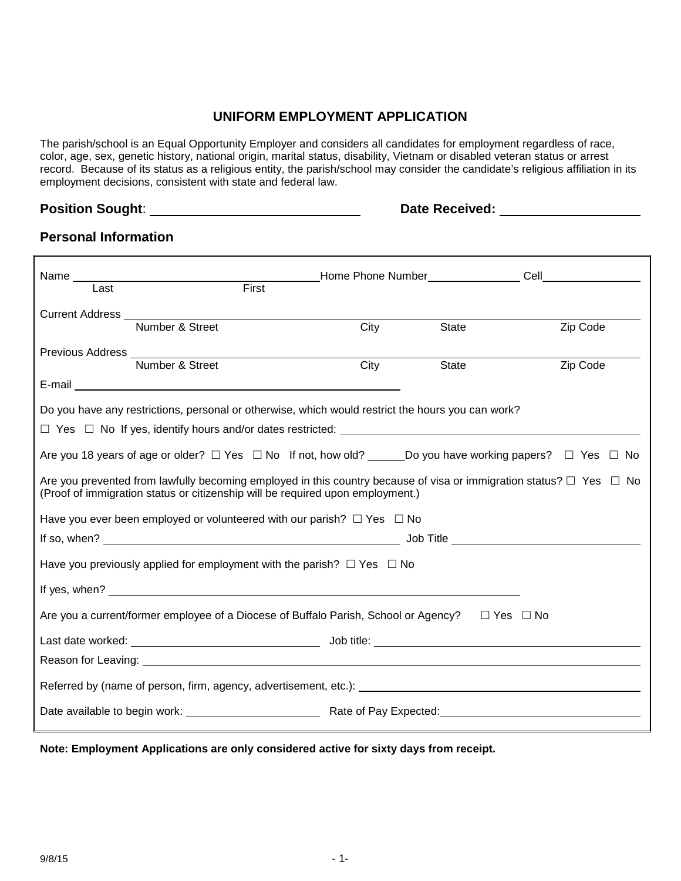### **UNIFORM EMPLOYMENT APPLICATION**

The parish/school is an Equal Opportunity Employer and considers all candidates for employment regardless of race, color, age, sex, genetic history, national origin, marital status, disability, Vietnam or disabled veteran status or arrest record. Because of its status as a religious entity, the parish/school may consider the candidate's religious affiliation in its employment decisions, consistent with state and federal law.

## **Position Sought:** <u>Date Received:</u> Date Received:

### **Personal Information**

| First<br>Last                                                                                                                                                                                                   |                    |              |          |  |
|-----------------------------------------------------------------------------------------------------------------------------------------------------------------------------------------------------------------|--------------------|--------------|----------|--|
|                                                                                                                                                                                                                 |                    |              |          |  |
| Number & Street                                                                                                                                                                                                 | $\overline{C}$ ity | <b>State</b> | Zip Code |  |
|                                                                                                                                                                                                                 |                    |              |          |  |
| Number & Street                                                                                                                                                                                                 | City               | <b>State</b> | Zip Code |  |
|                                                                                                                                                                                                                 |                    |              |          |  |
| Do you have any restrictions, personal or otherwise, which would restrict the hours you can work?                                                                                                               |                    |              |          |  |
|                                                                                                                                                                                                                 |                    |              |          |  |
| Are you 18 years of age or older? $\Box$ Yes $\Box$ No If not, how old? _______Do you have working papers? $\Box$ Yes $\Box$ No                                                                                 |                    |              |          |  |
| Are you prevented from lawfully becoming employed in this country because of visa or immigration status? $\Box$ Yes $\Box$ No<br>(Proof of immigration status or citizenship will be required upon employment.) |                    |              |          |  |
| Have you ever been employed or volunteered with our parish? $\Box$ Yes $\Box$ No                                                                                                                                |                    |              |          |  |
|                                                                                                                                                                                                                 |                    |              |          |  |
| Have you previously applied for employment with the parish? $\Box$ Yes $\Box$ No                                                                                                                                |                    |              |          |  |
|                                                                                                                                                                                                                 |                    |              |          |  |
| Are you a current/former employee of a Diocese of Buffalo Parish, School or Agency? $\square$ Yes $\square$ No                                                                                                  |                    |              |          |  |
|                                                                                                                                                                                                                 |                    |              |          |  |
|                                                                                                                                                                                                                 |                    |              |          |  |
|                                                                                                                                                                                                                 |                    |              |          |  |
|                                                                                                                                                                                                                 |                    |              |          |  |

**Note: Employment Applications are only considered active for sixty days from receipt.**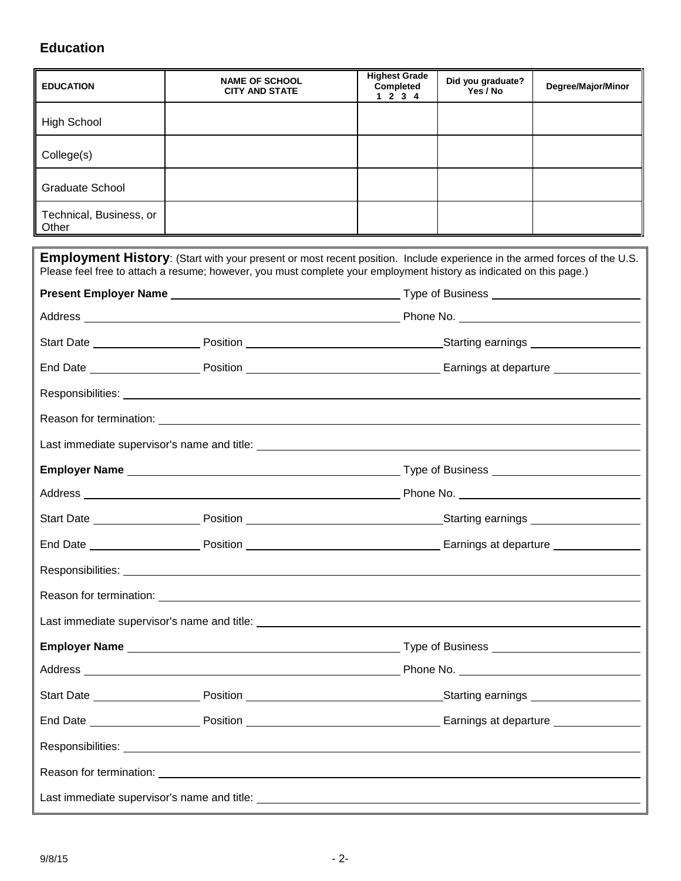# **Education**

| <b>EDUCATION</b>                                                                                                                                                                                                               | <b>NAME OF SCHOOL</b><br><b>CITY AND STATE</b>                                                                                                                                                                                                          | <b>Highest Grade</b><br>Completed<br>1234 | Did you graduate?<br>Yes / No | Degree/Major/Minor |
|--------------------------------------------------------------------------------------------------------------------------------------------------------------------------------------------------------------------------------|---------------------------------------------------------------------------------------------------------------------------------------------------------------------------------------------------------------------------------------------------------|-------------------------------------------|-------------------------------|--------------------|
| <b>High School</b>                                                                                                                                                                                                             |                                                                                                                                                                                                                                                         |                                           |                               |                    |
| College(s)                                                                                                                                                                                                                     |                                                                                                                                                                                                                                                         |                                           |                               |                    |
| Graduate School                                                                                                                                                                                                                |                                                                                                                                                                                                                                                         |                                           |                               |                    |
| Technical, Business, or<br>Other                                                                                                                                                                                               |                                                                                                                                                                                                                                                         |                                           |                               |                    |
|                                                                                                                                                                                                                                | <b>Employment History</b> : (Start with your present or most recent position. Include experience in the armed forces of the U.S.<br>Please feel free to attach a resume; however, you must complete your employment history as indicated on this page.) |                                           |                               |                    |
|                                                                                                                                                                                                                                |                                                                                                                                                                                                                                                         |                                           |                               |                    |
|                                                                                                                                                                                                                                |                                                                                                                                                                                                                                                         |                                           |                               |                    |
|                                                                                                                                                                                                                                |                                                                                                                                                                                                                                                         |                                           |                               |                    |
|                                                                                                                                                                                                                                |                                                                                                                                                                                                                                                         |                                           |                               |                    |
|                                                                                                                                                                                                                                |                                                                                                                                                                                                                                                         |                                           |                               |                    |
|                                                                                                                                                                                                                                |                                                                                                                                                                                                                                                         |                                           |                               |                    |
|                                                                                                                                                                                                                                |                                                                                                                                                                                                                                                         |                                           |                               |                    |
|                                                                                                                                                                                                                                |                                                                                                                                                                                                                                                         |                                           |                               |                    |
|                                                                                                                                                                                                                                |                                                                                                                                                                                                                                                         |                                           |                               |                    |
|                                                                                                                                                                                                                                |                                                                                                                                                                                                                                                         |                                           |                               |                    |
|                                                                                                                                                                                                                                |                                                                                                                                                                                                                                                         |                                           |                               |                    |
| Responsibilities: Later and Contract Contract Contract Contract Contract Contract Contract Contract Contract Contract Contract Contract Contract Contract Contract Contract Contract Contract Contract Contract Contract Contr |                                                                                                                                                                                                                                                         |                                           |                               |                    |
|                                                                                                                                                                                                                                | Reason for termination: <u>example and the set of the set of the set of the set of the set of the set of the set of the set of the set of the set of the set of the set of the set of the set of the set of the set of the set o</u>                    |                                           |                               |                    |
|                                                                                                                                                                                                                                |                                                                                                                                                                                                                                                         |                                           |                               |                    |
|                                                                                                                                                                                                                                |                                                                                                                                                                                                                                                         |                                           |                               |                    |
|                                                                                                                                                                                                                                |                                                                                                                                                                                                                                                         |                                           |                               |                    |
|                                                                                                                                                                                                                                |                                                                                                                                                                                                                                                         |                                           |                               |                    |
|                                                                                                                                                                                                                                |                                                                                                                                                                                                                                                         |                                           |                               |                    |
|                                                                                                                                                                                                                                | Responsibilities: Network and the contract of the contract of the contract of the contract of the contract of                                                                                                                                           |                                           |                               |                    |
|                                                                                                                                                                                                                                |                                                                                                                                                                                                                                                         |                                           |                               |                    |
|                                                                                                                                                                                                                                |                                                                                                                                                                                                                                                         |                                           |                               |                    |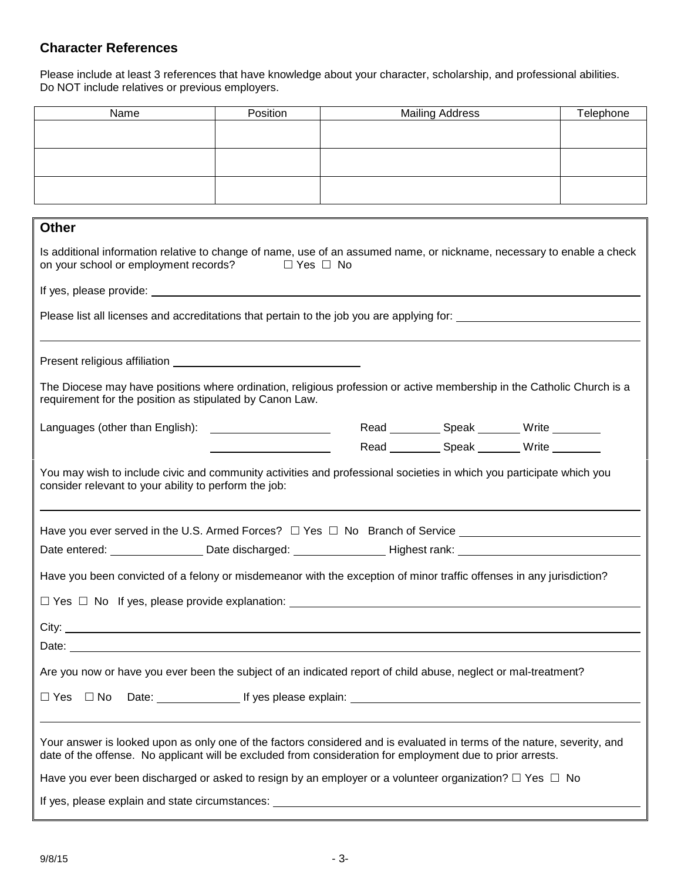## **Character References**

Please include at least 3 references that have knowledge about your character, scholarship, and professional abilities. Do NOT include relatives or previous employers.

| Name                                                                                                                                                                                                                                  | Position                                                                                                             |  | <b>Mailing Address</b> | Telephone                                         |
|---------------------------------------------------------------------------------------------------------------------------------------------------------------------------------------------------------------------------------------|----------------------------------------------------------------------------------------------------------------------|--|------------------------|---------------------------------------------------|
|                                                                                                                                                                                                                                       |                                                                                                                      |  |                        |                                                   |
|                                                                                                                                                                                                                                       |                                                                                                                      |  |                        |                                                   |
|                                                                                                                                                                                                                                       |                                                                                                                      |  |                        |                                                   |
|                                                                                                                                                                                                                                       |                                                                                                                      |  |                        |                                                   |
|                                                                                                                                                                                                                                       |                                                                                                                      |  |                        |                                                   |
| <b>Other</b>                                                                                                                                                                                                                          |                                                                                                                      |  |                        |                                                   |
| Is additional information relative to change of name, use of an assumed name, or nickname, necessary to enable a check<br>on your school or employment records? □ Yes □ No                                                            |                                                                                                                      |  |                        |                                                   |
|                                                                                                                                                                                                                                       |                                                                                                                      |  |                        |                                                   |
|                                                                                                                                                                                                                                       |                                                                                                                      |  |                        |                                                   |
|                                                                                                                                                                                                                                       |                                                                                                                      |  |                        |                                                   |
|                                                                                                                                                                                                                                       |                                                                                                                      |  |                        |                                                   |
|                                                                                                                                                                                                                                       |                                                                                                                      |  |                        |                                                   |
| The Diocese may have positions where ordination, religious profession or active membership in the Catholic Church is a<br>requirement for the position as stipulated by Canon Law.                                                    |                                                                                                                      |  |                        |                                                   |
|                                                                                                                                                                                                                                       |                                                                                                                      |  |                        | Read ____________ Speak _________ Write _________ |
|                                                                                                                                                                                                                                       |                                                                                                                      |  |                        | Read ____________ Speak _________ Write _________ |
| You may wish to include civic and community activities and professional societies in which you participate which you<br>consider relevant to your ability to perform the job:                                                         |                                                                                                                      |  |                        |                                                   |
| Have you ever served in the U.S. Armed Forces? $\Box$ Yes $\Box$ No Branch of Service $\_\_\_\_\_\_\_\_\_\_\_\_\_\_\_\_\_\_\_\_\_\_\_\_\_\_\_\_\_\_\_$                                                                                |                                                                                                                      |  |                        |                                                   |
|                                                                                                                                                                                                                                       |                                                                                                                      |  |                        |                                                   |
| Date entered: ____________________Date discharged: _________________Highest rank: ____________________________                                                                                                                        |                                                                                                                      |  |                        |                                                   |
|                                                                                                                                                                                                                                       | Have you been convicted of a felony or misdemeanor with the exception of minor traffic offenses in any jurisdiction? |  |                        |                                                   |
| $\Box$ Yes $\Box$ No If yes, please provide explanation:                                                                                                                                                                              |                                                                                                                      |  |                        |                                                   |
|                                                                                                                                                                                                                                       |                                                                                                                      |  |                        |                                                   |
| Date: the contract of the contract of the contract of the contract of the contract of the contract of the contract of the contract of the contract of the contract of the contract of the contract of the contract of the cont        |                                                                                                                      |  |                        |                                                   |
|                                                                                                                                                                                                                                       |                                                                                                                      |  |                        |                                                   |
| Are you now or have you ever been the subject of an indicated report of child abuse, neglect or mal-treatment?                                                                                                                        |                                                                                                                      |  |                        |                                                   |
| $\Box$ Yes $\Box$ No                                                                                                                                                                                                                  |                                                                                                                      |  |                        |                                                   |
|                                                                                                                                                                                                                                       |                                                                                                                      |  |                        |                                                   |
| Your answer is looked upon as only one of the factors considered and is evaluated in terms of the nature, severity, and<br>date of the offense. No applicant will be excluded from consideration for employment due to prior arrests. |                                                                                                                      |  |                        |                                                   |
| Have you ever been discharged or asked to resign by an employer or a volunteer organization? $\Box$ Yes $\Box$ No                                                                                                                     |                                                                                                                      |  |                        |                                                   |
| If yes, please explain and state circumstances: ________________________________                                                                                                                                                      |                                                                                                                      |  |                        |                                                   |
|                                                                                                                                                                                                                                       |                                                                                                                      |  |                        |                                                   |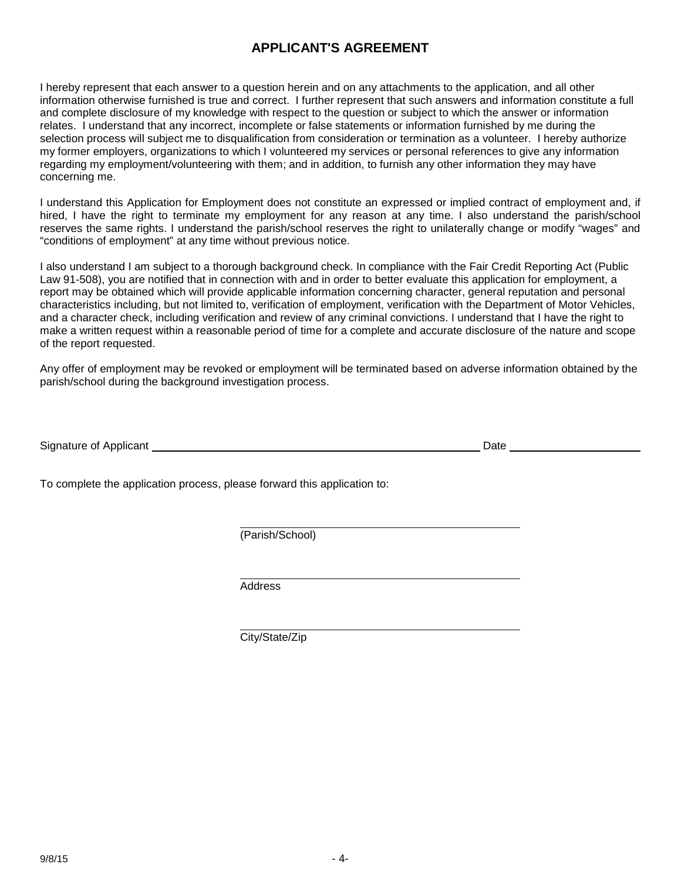## **APPLICANT'S AGREEMENT**

I hereby represent that each answer to a question herein and on any attachments to the application, and all other information otherwise furnished is true and correct. I further represent that such answers and information constitute a full and complete disclosure of my knowledge with respect to the question or subject to which the answer or information relates. I understand that any incorrect, incomplete or false statements or information furnished by me during the selection process will subject me to disqualification from consideration or termination as a volunteer. I hereby authorize my former employers, organizations to which I volunteered my services or personal references to give any information regarding my employment/volunteering with them; and in addition, to furnish any other information they may have concerning me.

I understand this Application for Employment does not constitute an expressed or implied contract of employment and, if hired, I have the right to terminate my employment for any reason at any time. I also understand the parish/school reserves the same rights. I understand the parish/school reserves the right to unilaterally change or modify "wages" and "conditions of employment" at any time without previous notice.

I also understand I am subject to a thorough background check. In compliance with the Fair Credit Reporting Act (Public Law 91-508), you are notified that in connection with and in order to better evaluate this application for employment, a report may be obtained which will provide applicable information concerning character, general reputation and personal characteristics including, but not limited to, verification of employment, verification with the Department of Motor Vehicles, and a character check, including verification and review of any criminal convictions. I understand that I have the right to make a written request within a reasonable period of time for a complete and accurate disclosure of the nature and scope of the report requested.

Any offer of employment may be revoked or employment will be terminated based on adverse information obtained by the parish/school during the background investigation process.

Signature of Applicant **Date Date Date Date Date Date Date Date Date Date Date Date Date Date Date Date Date Date Date Date Date Date Date Date Date Date Date D** 

To complete the application process, please forward this application to:

(Parish/School)

Address

City/State/Zip